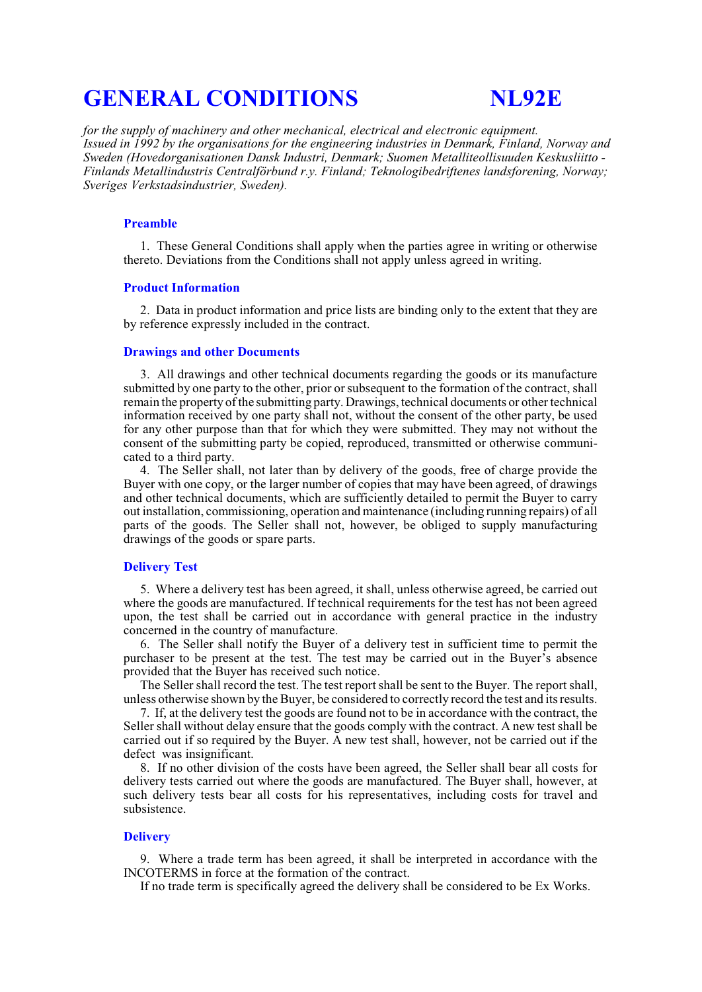# **GENERAL CONDITIONS NL92E**

*for the supply of machinery and other mechanical, electrical and electronic equipment. Issued in 1992 by the organisations for the engineering industries in Denmark, Finland, Norway and Sweden (Hovedorganisationen Dansk Industri, Denmark; Suomen Metalliteollisuuden Keskusliitto - Finlands Metallindustris Centralförbund r.y. Finland; Teknologibedriftenes landsforening, Norway; Sveriges Verkstadsindustrier, Sweden).*

#### **Preamble**

1. These General Conditions shall apply when the parties agree in writing or otherwise thereto. Deviations from the Conditions shall not apply unless agreed in writing.

#### **Product Information**

2. Data in product information and price lists are binding only to the extent that they are by reference expressly included in the contract.

# **Drawings and other Documents**

3. All drawings and other technical documents regarding the goods or its manufacture submitted by one party to the other, prior orsubsequent to the formation of the contract, shall remain the property of the submitting party. Drawings, technical documents or other technical information received by one party shall not, without the consent of the other party, be used for any other purpose than that for which they were submitted. They may not without the consent of the submitting party be copied, reproduced, transmitted or otherwise communicated to a third party.

4. The Seller shall, not later than by delivery of the goods, free of charge provide the Buyer with one copy, or the larger number of copies that may have been agreed, of drawings and other technical documents, which are sufficiently detailed to permit the Buyer to carry out installation, commissioning, operation and maintenance (including running repairs) of all parts of the goods. The Seller shall not, however, be obliged to supply manufacturing drawings of the goods or spare parts.

# **Delivery Test**

5. Where a delivery test has been agreed, it shall, unless otherwise agreed, be carried out where the goods are manufactured. If technical requirements for the test has not been agreed upon, the test shall be carried out in accordance with general practice in the industry concerned in the country of manufacture.

6. The Seller shall notify the Buyer of a delivery test in sufficient time to permit the purchaser to be present at the test. The test may be carried out in the Buyer's absence provided that the Buyer has received such notice.

The Seller shall record the test. The test report shall be sent to the Buyer. The report shall, unless otherwise shown by the Buyer, be considered to correctly record the test and its results.

7. If, at the delivery test the goods are found not to be in accordance with the contract, the Seller shall without delay ensure that the goods comply with the contract. A new test shall be carried out if so required by the Buyer. A new test shall, however, not be carried out if the defect was insignificant.

8. If no other division of the costs have been agreed, the Seller shall bear all costs for delivery tests carried out where the goods are manufactured. The Buyer shall, however, at such delivery tests bear all costs for his representatives, including costs for travel and subsistence.

#### **Delivery**

9. Where a trade term has been agreed, it shall be interpreted in accordance with the INCOTERMS in force at the formation of the contract.

If no trade term is specifically agreed the delivery shall be considered to be Ex Works.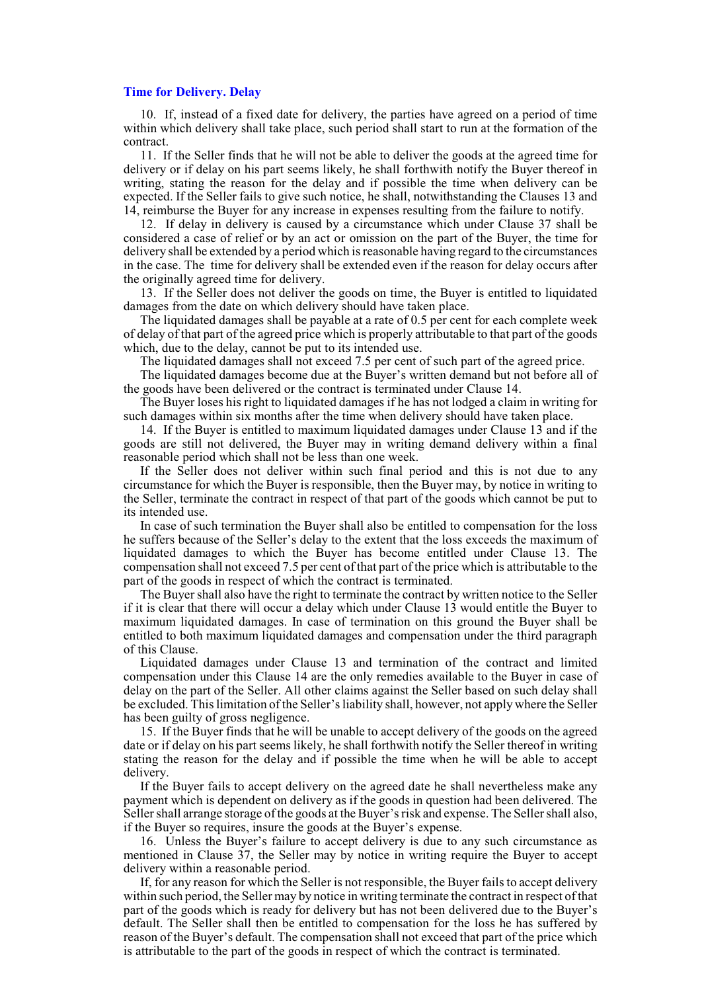#### **Time for Delivery. Delay**

10. If, instead of a fixed date for delivery, the parties have agreed on a period of time within which delivery shall take place, such period shall start to run at the formation of the contract.

11. If the Seller finds that he will not be able to deliver the goods at the agreed time for delivery or if delay on his part seems likely, he shall forthwith notify the Buyer thereof in writing, stating the reason for the delay and if possible the time when delivery can be expected. If the Seller fails to give such notice, he shall, notwithstanding the Clauses 13 and 14, reimburse the Buyer for any increase in expenses resulting from the failure to notify.

12. If delay in delivery is caused by a circumstance which under Clause 37 shall be considered a case of relief or by an act or omission on the part of the Buyer, the time for delivery shall be extended by a period which is reasonable having regard to the circumstances in the case. The time for delivery shall be extended even if the reason for delay occurs after the originally agreed time for delivery.

13. If the Seller does not deliver the goods on time, the Buyer is entitled to liquidated damages from the date on which delivery should have taken place.

The liquidated damages shall be payable at a rate of 0.5 per cent for each complete week of delay of that part of the agreed price which is properly attributable to that part of the goods which, due to the delay, cannot be put to its intended use.

The liquidated damages shall not exceed 7.5 per cent of such part of the agreed price.

The liquidated damages become due at the Buyer's written demand but not before all of the goods have been delivered or the contract is terminated under Clause 14.

The Buyer loses his right to liquidated damages if he has not lodged a claim in writing for such damages within six months after the time when delivery should have taken place.

14. If the Buyer is entitled to maximum liquidated damages under Clause 13 and if the goods are still not delivered, the Buyer may in writing demand delivery within a final reasonable period which shall not be less than one week.

If the Seller does not deliver within such final period and this is not due to any circumstance for which the Buyer is responsible, then the Buyer may, by notice in writing to the Seller, terminate the contract in respect of that part of the goods which cannot be put to its intended use.

In case of such termination the Buyer shall also be entitled to compensation for the loss he suffers because of the Seller's delay to the extent that the loss exceeds the maximum of liquidated damages to which the Buyer has become entitled under Clause 13. The compensation shall not exceed 7.5 per cent of that part of the price which is attributable to the part of the goods in respect of which the contract is terminated.

The Buyer shall also have the right to terminate the contract by written notice to the Seller if it is clear that there will occur a delay which under Clause 13 would entitle the Buyer to maximum liquidated damages. In case of termination on this ground the Buyer shall be entitled to both maximum liquidated damages and compensation under the third paragraph of this Clause.

Liquidated damages under Clause 13 and termination of the contract and limited compensation under this Clause 14 are the only remedies available to the Buyer in case of delay on the part of the Seller. All other claims against the Seller based on such delay shall be excluded. This limitation of the Seller's liability shall, however, not apply where the Seller has been guilty of gross negligence.

15. If the Buyer finds that he will be unable to accept delivery of the goods on the agreed date or if delay on his part seems likely, he shall forthwith notify the Seller thereof in writing stating the reason for the delay and if possible the time when he will be able to accept delivery.

If the Buyer fails to accept delivery on the agreed date he shall nevertheless make any payment which is dependent on delivery as if the goods in question had been delivered. The Seller shall arrange storage of the goods at the Buyer's risk and expense. The Seller shall also, if the Buyer so requires, insure the goods at the Buyer's expense.

16. Unless the Buyer's failure to accept delivery is due to any such circumstance as mentioned in Clause 37, the Seller may by notice in writing require the Buyer to accept delivery within a reasonable period.

If, for any reason for which the Seller is not responsible, the Buyer fails to accept delivery within such period, the Seller may by notice in writing terminate the contract in respect of that part of the goods which is ready for delivery but has not been delivered due to the Buyer's default. The Seller shall then be entitled to compensation for the loss he has suffered by reason of the Buyer's default. The compensation shall not exceed that part of the price which is attributable to the part of the goods in respect of which the contract is terminated.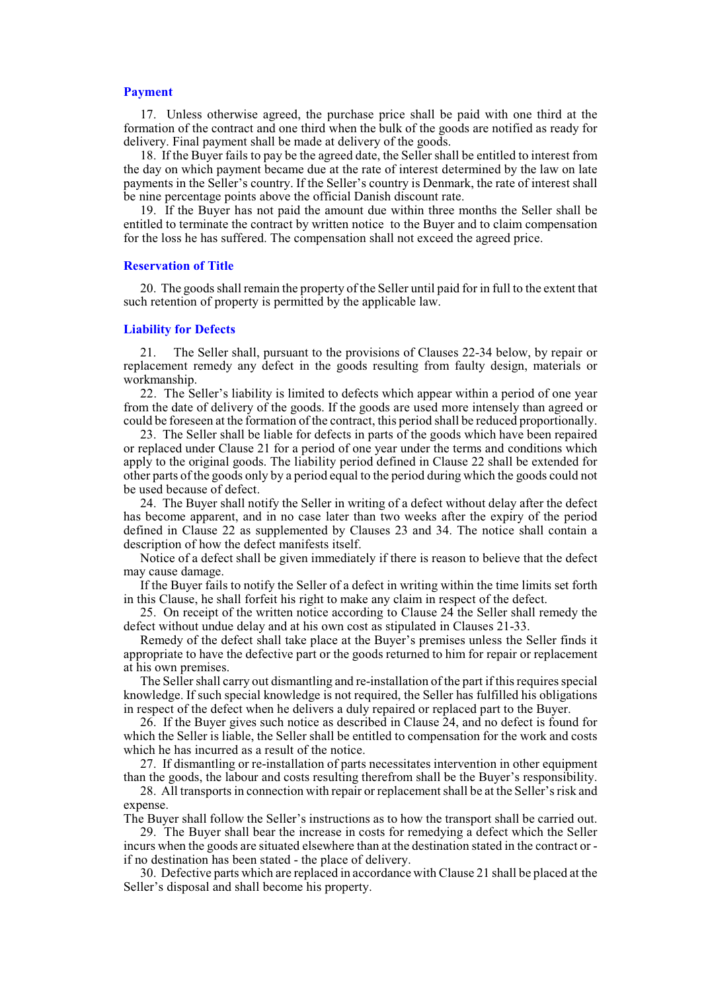# **Payment**

17. Unless otherwise agreed, the purchase price shall be paid with one third at the formation of the contract and one third when the bulk of the goods are notified as ready for delivery. Final payment shall be made at delivery of the goods.

18. If the Buyer fails to pay be the agreed date, the Seller shall be entitled to interest from the day on which payment became due at the rate of interest determined by the law on late payments in the Seller's country. If the Seller's country is Denmark, the rate of interest shall be nine percentage points above the official Danish discount rate.

19. If the Buyer has not paid the amount due within three months the Seller shall be entitled to terminate the contract by written notice to the Buyer and to claim compensation for the loss he has suffered. The compensation shall not exceed the agreed price.

## **Reservation of Title**

20. The goods shall remain the property of the Seller until paid for in full to the extent that such retention of property is permitted by the applicable law.

# **Liability for Defects**

21. The Seller shall, pursuant to the provisions of Clauses 22-34 below, by repair or replacement remedy any defect in the goods resulting from faulty design, materials or workmanship.

22. The Seller's liability is limited to defects which appear within a period of one year from the date of delivery of the goods. If the goods are used more intensely than agreed or could be foreseen at the formation of the contract, this period shall be reduced proportionally.

23. The Seller shall be liable for defects in parts of the goods which have been repaired or replaced under Clause 21 for a period of one year under the terms and conditions which apply to the original goods. The liability period defined in Clause 22 shall be extended for other parts of the goods only by a period equal to the period during which the goods could not be used because of defect.

24. The Buyer shall notify the Seller in writing of a defect without delay after the defect has become apparent, and in no case later than two weeks after the expiry of the period defined in Clause 22 as supplemented by Clauses 23 and 34. The notice shall contain a description of how the defect manifests itself.

Notice of a defect shall be given immediately if there is reason to believe that the defect may cause damage.

If the Buyer fails to notify the Seller of a defect in writing within the time limits set forth in this Clause, he shall forfeit his right to make any claim in respect of the defect.

25. On receipt of the written notice according to Clause 24 the Seller shall remedy the defect without undue delay and at his own cost as stipulated in Clauses 21-33.

Remedy of the defect shall take place at the Buyer's premises unless the Seller finds it appropriate to have the defective part or the goods returned to him for repair or replacement at his own premises.

The Seller shall carry out dismantling and re-installation of the part if this requires special knowledge. If such special knowledge is not required, the Seller has fulfilled his obligations in respect of the defect when he delivers a duly repaired or replaced part to the Buyer.

26. If the Buyer gives such notice as described in Clause 24, and no defect is found for which the Seller is liable, the Seller shall be entitled to compensation for the work and costs which he has incurred as a result of the notice.

27. If dismantling or re-installation of parts necessitates intervention in other equipment than the goods, the labour and costs resulting therefrom shall be the Buyer's responsibility.

28. All transports in connection with repair or replacement shall be at the Seller's risk and expense.

The Buyer shall follow the Seller's instructions as to how the transport shall be carried out.

29. The Buyer shall bear the increase in costs for remedying a defect which the Seller incurs when the goods are situated elsewhere than at the destination stated in the contract or if no destination has been stated - the place of delivery.

30. Defective parts which are replaced in accordance with Clause 21 shall be placed at the Seller's disposal and shall become his property.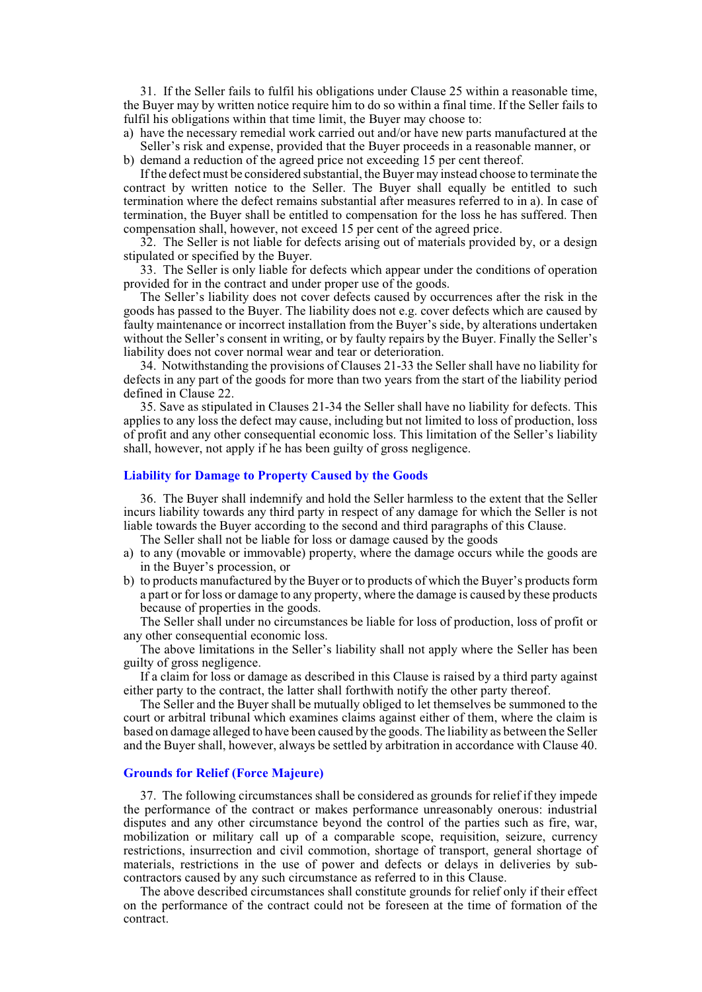31. If the Seller fails to fulfil his obligations under Clause 25 within a reasonable time, the Buyer may by written notice require him to do so within a final time. If the Seller fails to fulfil his obligations within that time limit, the Buyer may choose to:

a) have the necessary remedial work carried out and/or have new parts manufactured at the Seller's risk and expense, provided that the Buyer proceeds in a reasonable manner, or

b) demand a reduction of the agreed price not exceeding 15 per cent thereof.

If the defect must be considered substantial, the Buyer may instead choose to terminate the contract by written notice to the Seller. The Buyer shall equally be entitled to such termination where the defect remains substantial after measures referred to in a). In case of termination, the Buyer shall be entitled to compensation for the loss he has suffered. Then compensation shall, however, not exceed 15 per cent of the agreed price.

32. The Seller is not liable for defects arising out of materials provided by, or a design stipulated or specified by the Buyer.

33. The Seller is only liable for defects which appear under the conditions of operation provided for in the contract and under proper use of the goods.

The Seller's liability does not cover defects caused by occurrences after the risk in the goods has passed to the Buyer. The liability does not e.g. cover defects which are caused by faulty maintenance or incorrect installation from the Buyer's side, by alterations undertaken without the Seller's consent in writing, or by faulty repairs by the Buyer. Finally the Seller's liability does not cover normal wear and tear or deterioration.

34. Notwithstanding the provisions of Clauses 21-33 the Seller shall have no liability for defects in any part of the goods for more than two years from the start of the liability period defined in Clause 22.

35. Save as stipulated in Clauses 21-34 the Seller shall have no liability for defects. This applies to any loss the defect may cause, including but not limited to loss of production, loss of profit and any other consequential economic loss. This limitation of the Seller's liability shall, however, not apply if he has been guilty of gross negligence.

### **Liability for Damage to Property Caused by the Goods**

36. The Buyer shall indemnify and hold the Seller harmless to the extent that the Seller incurs liability towards any third party in respect of any damage for which the Seller is not liable towards the Buyer according to the second and third paragraphs of this Clause.

The Seller shall not be liable for loss or damage caused by the goods

- a) to any (movable or immovable) property, where the damage occurs while the goods are in the Buyer's procession, or
- b) to products manufactured by the Buyer or to products of which the Buyer's products form a part or for loss or damage to any property, where the damage is caused by these products because of properties in the goods.

The Seller shall under no circumstances be liable for loss of production, loss of profit or any other consequential economic loss.

The above limitations in the Seller's liability shall not apply where the Seller has been guilty of gross negligence.

If a claim for loss or damage as described in this Clause is raised by a third party against either party to the contract, the latter shall forthwith notify the other party thereof.

The Seller and the Buyer shall be mutually obliged to let themselves be summoned to the court or arbitral tribunal which examines claims against either of them, where the claim is based on damage alleged to have been caused by the goods. The liability as between the Seller and the Buyer shall, however, always be settled by arbitration in accordance with Clause 40.

# **Grounds for Relief (Force Majeure)**

37. The following circumstances shall be considered as grounds for relief if they impede the performance of the contract or makes performance unreasonably onerous: industrial disputes and any other circumstance beyond the control of the parties such as fire, war, mobilization or military call up of a comparable scope, requisition, seizure, currency restrictions, insurrection and civil commotion, shortage of transport, general shortage of materials, restrictions in the use of power and defects or delays in deliveries by subcontractors caused by any such circumstance as referred to in this Clause.

The above described circumstances shall constitute grounds for relief only if their effect on the performance of the contract could not be foreseen at the time of formation of the contract.